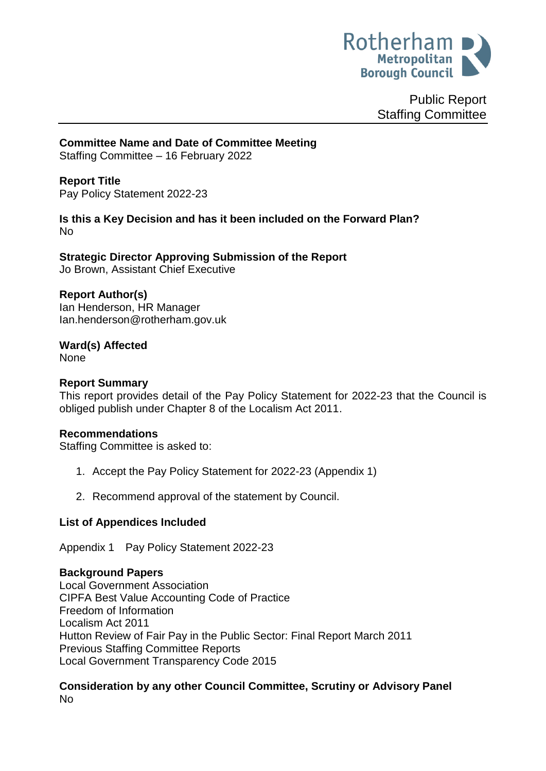

Public Report Staffing Committee

**Committee Name and Date of Committee Meeting**

Staffing Committee – 16 February 2022

<span id="page-0-0"></span>**Report Title** Pay Policy Statement 2022-23

**Is this a Key Decision and has it been included on the Forward Plan?**  No

**Strategic Director Approving Submission of the Report** Jo Brown, Assistant Chief Executive

# **Report Author(s)**

Ian Henderson, HR Manager Ian.henderson@rotherham.gov.uk

**Ward(s) Affected** None

# **Report Summary**

This report provides detail of the Pay Policy Statement for 2022-23 that the Council is obliged publish under Chapter 8 of the Localism Act 2011.

## **Recommendations**

Staffing Committee is asked to:

- 1. Accept the Pay Policy Statement for 2022-23 (Appendix 1)
- 2. Recommend approval of the statement by Council.

# **List of Appendices Included**

Appendix 1 Pay Policy Statement 2022-23

## **Background Papers**

Local Government Association CIPFA Best Value Accounting Code of Practice Freedom of Information Localism Act 2011 Hutton Review of Fair Pay in the Public Sector: Final Report March 2011 Previous Staffing Committee Reports Local Government Transparency Code 2015

## **Consideration by any other Council Committee, Scrutiny or Advisory Panel** No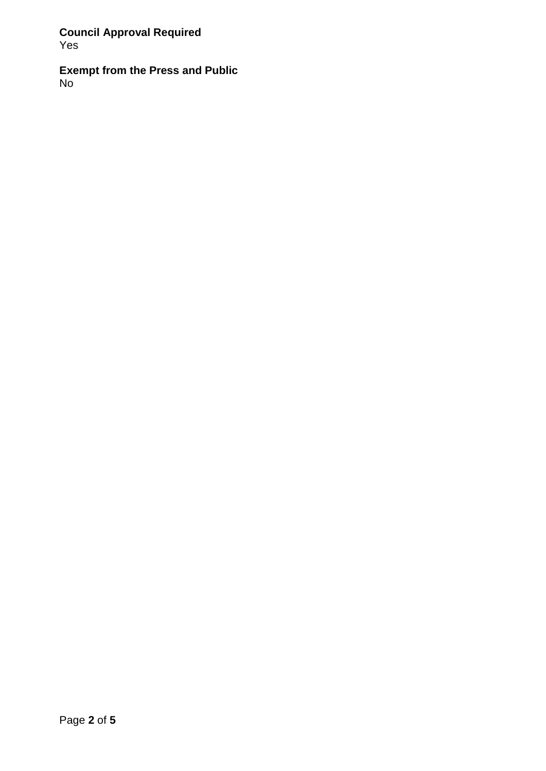**Council Approval Required** Yes

**Exempt from the Press and Public** No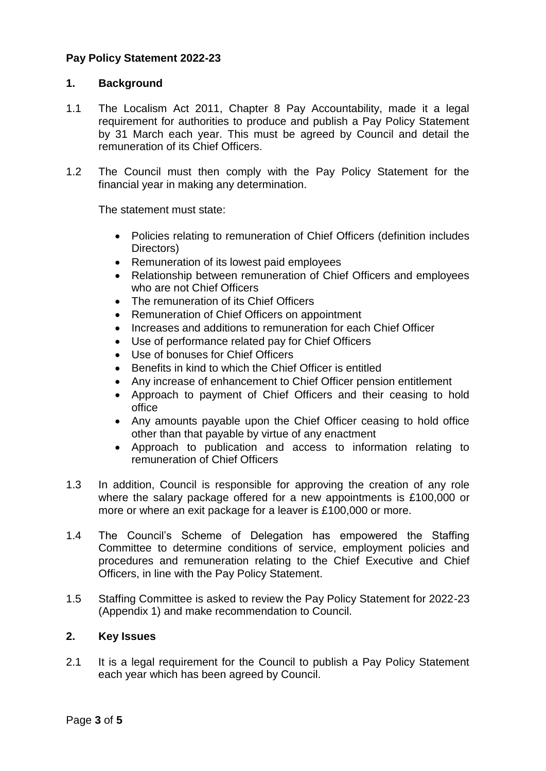# **[Pay Policy Statement 2022-23](#page-0-0)**

### **1. Background**

- 1.1 The Localism Act 2011, Chapter 8 Pay Accountability, made it a legal requirement for authorities to produce and publish a Pay Policy Statement by 31 March each year. This must be agreed by Council and detail the remuneration of its Chief Officers.
- 1.2 The Council must then comply with the Pay Policy Statement for the financial year in making any determination.

The statement must state:

- Policies relating to remuneration of Chief Officers (definition includes Directors)
- Remuneration of its lowest paid employees
- Relationship between remuneration of Chief Officers and employees who are not Chief Officers
- The remuneration of its Chief Officers
- Remuneration of Chief Officers on appointment
- Increases and additions to remuneration for each Chief Officer
- Use of performance related pay for Chief Officers
- Use of bonuses for Chief Officers
- Benefits in kind to which the Chief Officer is entitled
- Any increase of enhancement to Chief Officer pension entitlement
- Approach to payment of Chief Officers and their ceasing to hold office
- Any amounts payable upon the Chief Officer ceasing to hold office other than that payable by virtue of any enactment
- Approach to publication and access to information relating to remuneration of Chief Officers
- 1.3 In addition, Council is responsible for approving the creation of any role where the salary package offered for a new appointments is £100,000 or more or where an exit package for a leaver is £100,000 or more.
- 1.4 The Council's Scheme of Delegation has empowered the Staffing Committee to determine conditions of service, employment policies and procedures and remuneration relating to the Chief Executive and Chief Officers, in line with the Pay Policy Statement.
- 1.5 Staffing Committee is asked to review the Pay Policy Statement for 2022-23 (Appendix 1) and make recommendation to Council.

## **2. Key Issues**

2.1 It is a legal requirement for the Council to publish a Pay Policy Statement each year which has been agreed by Council.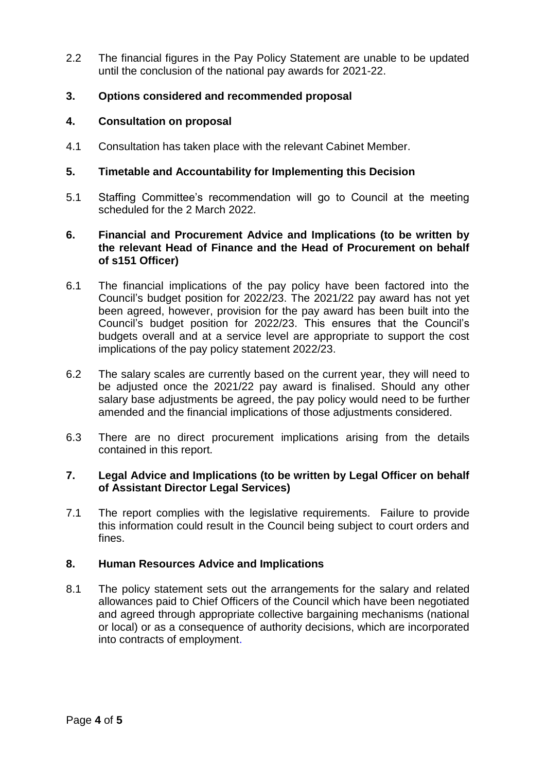2.2 The financial figures in the Pay Policy Statement are unable to be updated until the conclusion of the national pay awards for 2021-22.

# **3. Options considered and recommended proposal**

## **4. Consultation on proposal**

4.1 Consultation has taken place with the relevant Cabinet Member.

## **5. Timetable and Accountability for Implementing this Decision**

5.1 Staffing Committee's recommendation will go to Council at the meeting scheduled for the 2 March 2022.

## **6. Financial and Procurement Advice and Implications (to be written by the relevant Head of Finance and the Head of Procurement on behalf of s151 Officer)**

- 6.1 The financial implications of the pay policy have been factored into the Council's budget position for 2022/23. The 2021/22 pay award has not yet been agreed, however, provision for the pay award has been built into the Council's budget position for 2022/23. This ensures that the Council's budgets overall and at a service level are appropriate to support the cost implications of the pay policy statement 2022/23.
- 6.2 The salary scales are currently based on the current year, they will need to be adjusted once the 2021/22 pay award is finalised. Should any other salary base adjustments be agreed, the pay policy would need to be further amended and the financial implications of those adjustments considered.
- 6.3 There are no direct procurement implications arising from the details contained in this report.

### **7. Legal Advice and Implications (to be written by Legal Officer on behalf of Assistant Director Legal Services)**

7.1 The report complies with the legislative requirements. Failure to provide this information could result in the Council being subject to court orders and fines.

## **8. Human Resources Advice and Implications**

8.1 The policy statement sets out the arrangements for the salary and related allowances paid to Chief Officers of the Council which have been negotiated and agreed through appropriate collective bargaining mechanisms (national or local) or as a consequence of authority decisions, which are incorporated into contracts of employment.